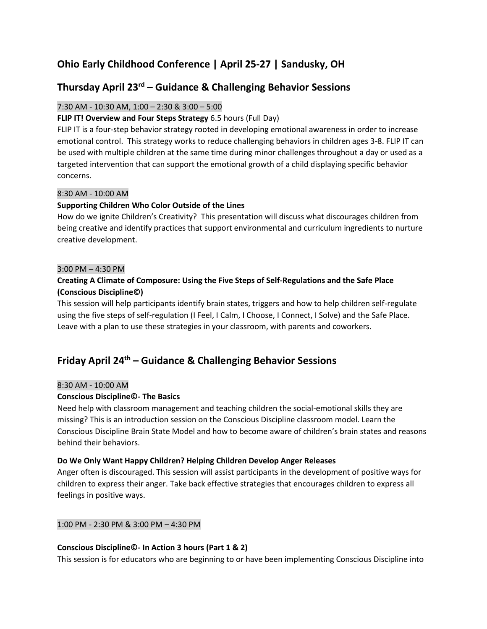# **Ohio Early Childhood Conference | April 25-27 | Sandusky, OH**

# **Thursday April 23rd – Guidance & Challenging Behavior Sessions**

# 7:30 AM - 10:30 AM, 1:00 – 2:30 & 3:00 – 5:00

# **FLIP IT! Overview and Four Steps Strategy** 6.5 hours (Full Day)

FLIP IT is a four-step behavior strategy rooted in developing emotional awareness in order to increase emotional control. This strategy works to reduce challenging behaviors in children ages 3-8. FLIP IT can be used with multiple children at the same time during minor challenges throughout a day or used as a targeted intervention that can support the emotional growth of a child displaying specific behavior concerns.

### 8:30 AM - 10:00 AM

# **Supporting Children Who Color Outside of the Lines**

How do we ignite Children's Creativity? This presentation will discuss what discourages children from being creative and identify practices that support environmental and curriculum ingredients to nurture creative development.

### 3:00 PM – 4:30 PM

# **Creating A Climate of Composure: Using the Five Steps of Self-Regulations and the Safe Place (Conscious Discipline©)**

This session will help participants identify brain states, triggers and how to help children self-regulate using the five steps of self-regulation (I Feel, I Calm, I Choose, I Connect, I Solve) and the Safe Place. Leave with a plan to use these strategies in your classroom, with parents and coworkers.

# **Friday April 24 th – Guidance & Challenging Behavior Sessions**

### 8:30 AM - 10:00 AM

# **Conscious Discipline©- The Basics**

Need help with classroom management and teaching children the social-emotional skills they are missing? This is an introduction session on the Conscious Discipline classroom model. Learn the Conscious Discipline Brain State Model and how to become aware of children's brain states and reasons behind their behaviors.

### **Do We Only Want Happy Children? Helping Children Develop Anger Releases**

Anger often is discouraged. This session will assist participants in the development of positive ways for children to express their anger. Take back effective strategies that encourages children to express all feelings in positive ways.

### 1:00 PM - 2:30 PM & 3:00 PM – 4:30 PM

### **Conscious Discipline©- In Action 3 hours (Part 1 & 2)**

This session is for educators who are beginning to or have been implementing Conscious Discipline into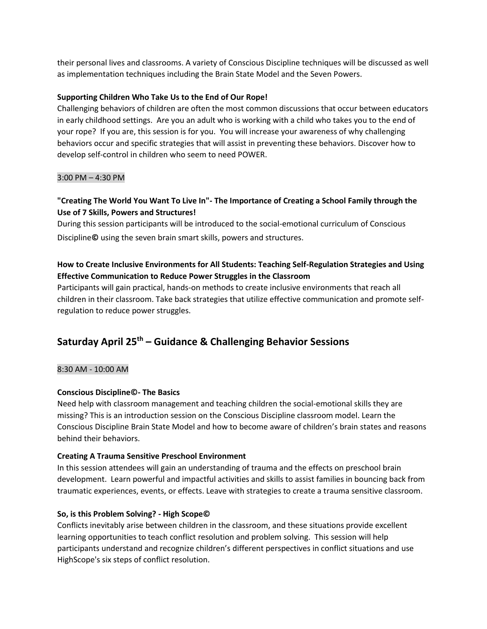their personal lives and classrooms. A variety of Conscious Discipline techniques will be discussed as well as implementation techniques including the Brain State Model and the Seven Powers.

### **Supporting Children Who Take Us to the End of Our Rope!**

Challenging behaviors of children are often the most common discussions that occur between educators in early childhood settings. Are you an adult who is working with a child who takes you to the end of your rope? If you are, this session is for you. You will increase your awareness of why challenging behaviors occur and specific strategies that will assist in preventing these behaviors. Discover how to develop self-control in children who seem to need POWER.

### 3:00 PM – 4:30 PM

# **"Creating The World You Want To Live In"- The Importance of Creating a School Family through the Use of 7 Skills, Powers and Structures!**

During this session participants will be introduced to the social-emotional curriculum of Conscious Discipline**©** using the seven brain smart skills, powers and structures.

# **How to Create Inclusive Environments for All Students: Teaching Self-Regulation Strategies and Using Effective Communication to Reduce Power Struggles in the Classroom**

Participants will gain practical, hands-on methods to create inclusive environments that reach all children in their classroom. Take back strategies that utilize effective communication and promote selfregulation to reduce power struggles.

# **Saturday April 25 th – Guidance & Challenging Behavior Sessions**

# 8:30 AM - 10:00 AM

# **Conscious Discipline©- The Basics**

Need help with classroom management and teaching children the social-emotional skills they are missing? This is an introduction session on the Conscious Discipline classroom model. Learn the Conscious Discipline Brain State Model and how to become aware of children's brain states and reasons behind their behaviors.

# **Creating A Trauma Sensitive Preschool Environment**

In this session attendees will gain an understanding of trauma and the effects on preschool brain development. Learn powerful and impactful activities and skills to assist families in bouncing back from traumatic experiences, events, or effects. Leave with strategies to create a trauma sensitive classroom.

# **So, is this Problem Solving? - High Scope©**

Conflicts inevitably arise between children in the classroom, and these situations provide excellent learning opportunities to teach conflict resolution and problem solving. This session will help participants understand and recognize children's different perspectives in conflict situations and use HighScope's six steps of conflict resolution.